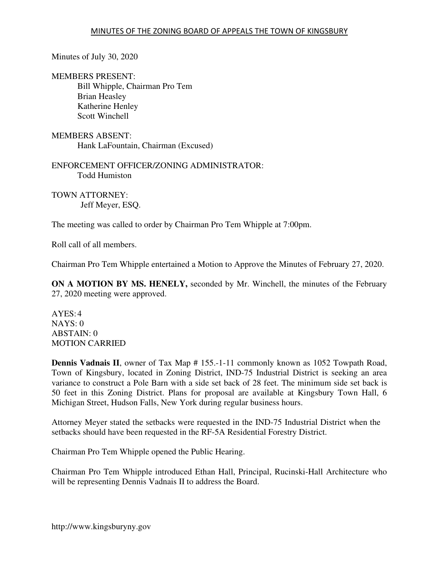Minutes of July 30, 2020

MEMBERS PRESENT: Bill Whipple, Chairman Pro Tem Brian Heasley Katherine Henley Scott Winchell

MEMBERS ABSENT: Hank LaFountain, Chairman (Excused)

ENFORCEMENT OFFICER/ZONING ADMINISTRATOR: Todd Humiston

TOWN ATTORNEY: Jeff Meyer, ESQ.

The meeting was called to order by Chairman Pro Tem Whipple at 7:00pm.

Roll call of all members.

Chairman Pro Tem Whipple entertained a Motion to Approve the Minutes of February 27, 2020.

**ON A MOTION BY MS. HENELY,** seconded by Mr. Winchell, the minutes of the February 27, 2020 meeting were approved.

 $AYES:4$ NAYS: 0 ABSTAIN: 0 MOTION CARRIED

**Dennis Vadnais II**, owner of Tax Map # 155.-1-11 commonly known as 1052 Towpath Road, Town of Kingsbury, located in Zoning District, IND-75 Industrial District is seeking an area variance to construct a Pole Barn with a side set back of 28 feet. The minimum side set back is 50 feet in this Zoning District. Plans for proposal are available at Kingsbury Town Hall, 6 Michigan Street, Hudson Falls, New York during regular business hours.

Attorney Meyer stated the setbacks were requested in the IND-75 Industrial District when the setbacks should have been requested in the RF-5A Residential Forestry District.

Chairman Pro Tem Whipple opened the Public Hearing.

Chairman Pro Tem Whipple introduced Ethan Hall, Principal, Rucinski-Hall Architecture who will be representing Dennis Vadnais II to address the Board.

http://www.kingsburyny.gov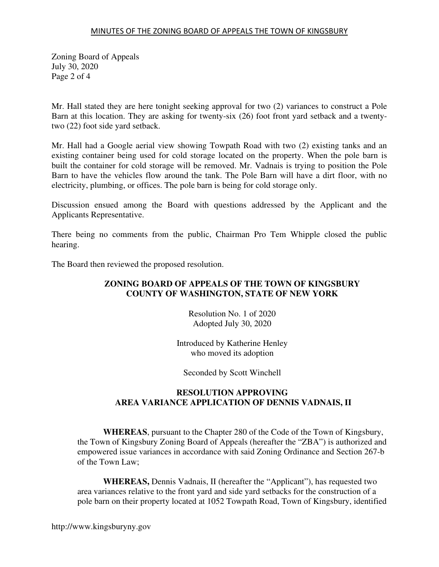## MINUTES OF THE ZONING BOARD OF APPEALS THE TOWN OF KINGSBURY

Zoning Board of Appeals July 30, 2020 Page 2 of 4

Mr. Hall stated they are here tonight seeking approval for two (2) variances to construct a Pole Barn at this location. They are asking for twenty-six (26) foot front yard setback and a twentytwo (22) foot side yard setback.

Mr. Hall had a Google aerial view showing Towpath Road with two (2) existing tanks and an existing container being used for cold storage located on the property. When the pole barn is built the container for cold storage will be removed. Mr. Vadnais is trying to position the Pole Barn to have the vehicles flow around the tank. The Pole Barn will have a dirt floor, with no electricity, plumbing, or offices. The pole barn is being for cold storage only.

Discussion ensued among the Board with questions addressed by the Applicant and the Applicants Representative.

There being no comments from the public, Chairman Pro Tem Whipple closed the public hearing.

The Board then reviewed the proposed resolution.

# **ZONING BOARD OF APPEALS OF THE TOWN OF KINGSBURY COUNTY OF WASHINGTON, STATE OF NEW YORK**

Resolution No. 1 of 2020 Adopted July 30, 2020

Introduced by Katherine Henley who moved its adoption

Seconded by Scott Winchell

# **RESOLUTION APPROVING AREA VARIANCE APPLICATION OF DENNIS VADNAIS, II**

**WHEREAS**, pursuant to the Chapter 280 of the Code of the Town of Kingsbury, the Town of Kingsbury Zoning Board of Appeals (hereafter the "ZBA") is authorized and empowered issue variances in accordance with said Zoning Ordinance and Section 267-b of the Town Law;

**WHEREAS,** Dennis Vadnais, II (hereafter the "Applicant"), has requested two area variances relative to the front yard and side yard setbacks for the construction of a pole barn on their property located at 1052 Towpath Road, Town of Kingsbury, identified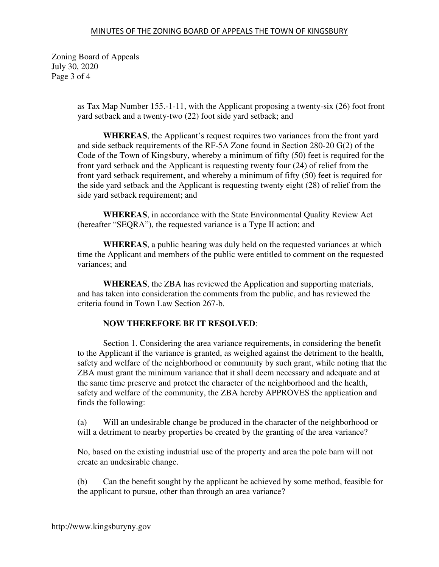### MINUTES OF THE ZONING BOARD OF APPEALS THE TOWN OF KINGSBURY

Zoning Board of Appeals July 30, 2020 Page 3 of 4

> as Tax Map Number 155.-1-11, with the Applicant proposing a twenty-six (26) foot front yard setback and a twenty-two (22) foot side yard setback; and

> **WHEREAS**, the Applicant's request requires two variances from the front yard and side setback requirements of the RF-5A Zone found in Section 280-20 G(2) of the Code of the Town of Kingsbury, whereby a minimum of fifty (50) feet is required for the front yard setback and the Applicant is requesting twenty four (24) of relief from the front yard setback requirement, and whereby a minimum of fifty (50) feet is required for the side yard setback and the Applicant is requesting twenty eight (28) of relief from the side yard setback requirement; and

**WHEREAS**, in accordance with the State Environmental Quality Review Act (hereafter "SEQRA"), the requested variance is a Type II action; and

**WHEREAS**, a public hearing was duly held on the requested variances at which time the Applicant and members of the public were entitled to comment on the requested variances; and

**WHEREAS**, the ZBA has reviewed the Application and supporting materials, and has taken into consideration the comments from the public, and has reviewed the criteria found in Town Law Section 267-b.

# **NOW THEREFORE BE IT RESOLVED**:

 Section 1. Considering the area variance requirements, in considering the benefit to the Applicant if the variance is granted, as weighed against the detriment to the health, safety and welfare of the neighborhood or community by such grant, while noting that the ZBA must grant the minimum variance that it shall deem necessary and adequate and at the same time preserve and protect the character of the neighborhood and the health, safety and welfare of the community, the ZBA hereby APPROVES the application and finds the following:

(a) Will an undesirable change be produced in the character of the neighborhood or will a detriment to nearby properties be created by the granting of the area variance?

No, based on the existing industrial use of the property and area the pole barn will not create an undesirable change.

(b) Can the benefit sought by the applicant be achieved by some method, feasible for the applicant to pursue, other than through an area variance?